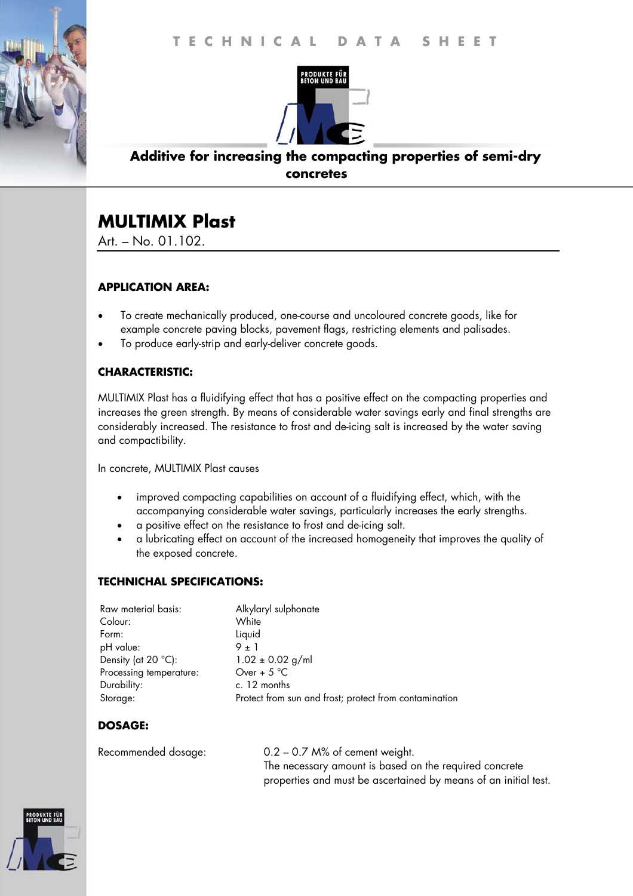

## **Additive for increasing the compacting properties of semi-dry concretes**

# **MULTIMIX Plast**

Art. – No. 01.102.

#### **APPLICATION AREA:**

- To create mechanically produced, one-course and uncoloured concrete goods, like for example concrete paving blocks, pavement flags, restricting elements and palisades.
- To produce early-strip and early-deliver concrete goods.

### **CHARACTERISTIC:**

MULTIMIX Plast has a fluidifying effect that has a positive effect on the compacting properties and increases the green strength. By means of considerable water savings early and final strengths are considerably increased. The resistance to frost and de-icing salt is increased by the water saving and compactibility.

In concrete, MULTIMIX Plast causes

- improved compacting capabilities on account of a fluidifying effect, which, with the accompanying considerable water savings, particularly increases the early strengths.
- a positive effect on the resistance to frost and de-icing salt.
- a lubricating effect on account of the increased homogeneity that improves the quality of the exposed concrete.

#### **TECHNICHAL SPECIFICATIONS:**

| Raw material basis:          | Alkylaryl sulphonate                                   |
|------------------------------|--------------------------------------------------------|
| Colour:                      | White                                                  |
| Form:                        | Liquid                                                 |
| pH value:                    | $9 + 1$                                                |
| Density (at $20^{\circ}$ C): | $1.02 \pm 0.02$ g/ml                                   |
| Processing temperature:      | Over + $5^{\circ}$ C                                   |
| Durability:                  | c. 12 months                                           |
| Storage:                     | Protect from sun and frost; protect from contamination |

#### **DOSAGE:**

| Recommended dosage: | $0.2 - 0.7$ M% of cement weight.                                |
|---------------------|-----------------------------------------------------------------|
|                     | The necessary amount is based on the required concrete          |
|                     | properties and must be ascertained by means of an initial test. |